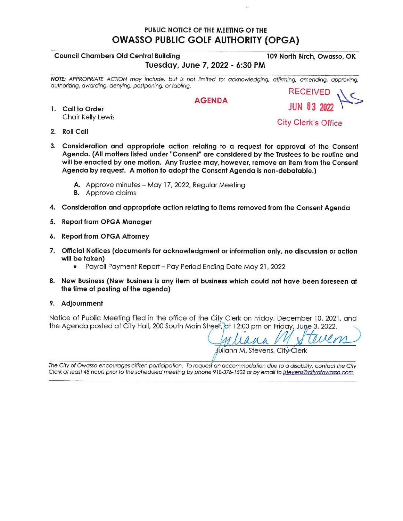## PUBLIC NOTICE OF THE MEETING OF THE **OWASSO PUBLIC GOLF AUTHORITY (OPGA)**

#### **Council Chambers Old Central Building**

109 North Birch, Owasso, OK Tuesday, June 7, 2022 - 6:30 PM

NOTE: APPROPRIATE ACTION may include, but is not limited to: acknowledging, affirming, amending, approving, authorizing, awarding, denying, postponing, or tabling. **RECEIVED** 

### **AGENDA**

1. Call to Order Chair Kelly Lewis

**City Clerk's Office** 

- 2. Roll Call
- 3. Consideration and appropriate action relating to a request for approval of the Consent Agenda. (All matters listed under "Consent" are considered by the Trustees to be routine and will be enacted by one motion. Any Trustee may, however, remove an item from the Consent Agenda by request. A motion to adopt the Consent Agenda is non-debatable.)
	- A. Approve minutes May 17, 2022, Regular Meeting
	- **B.** Approve claims
- 4. Consideration and appropriate action relating to items removed from the Consent Agenda
- 5. Report from OPGA Manager
- 6. Report from OPGA Attorney
- 7. Official Notices (documents for acknowledgment or information only, no discussion or action will be taken)
	- Payroll Payment Report Pay Period Ending Date May 21, 2022
- 8. New Business (New Business is any item of business which could not have been foreseen at the time of posting of the agenda)
- 9. Adjournment

Notice of Public Meeting filed in the office of the City Clerk on Friday, December 10, 2021, and the Agenda posted at City Hall, 200 South Main Street, at 12:00 pm on Friday, June 3, 2022.

Juliann M. Stevens, City Clerk

The City of Owasso encourages citizen participation. To request an accommodation due to a disability, contact the City Clerk at least 48 hours prior to the scheduled meeting by phone 918-376-1502 or by email to istevens@cityofowasso.com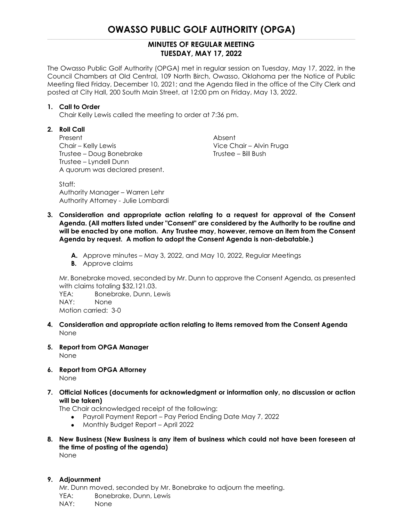# **OWASSO PUBLIC GOLF AUTHORITY (OPGA)**

### **MINUTES OF REGULAR MEETING TUESDAY, MAY 17, 2022**

The Owasso Public Golf Authority (OPGA) met in regular session on Tuesday, May 17, 2022, in the Council Chambers at Old Central, 109 North Birch, Owasso, Oklahoma per the Notice of Public Meeting filed Friday, December 10, 2021; and the Agenda filed in the office of the City Clerk and posted at City Hall, 200 South Main Street, at 12:00 pm on Friday, May 13, 2022.

#### **1. Call to Order**

Chair Kelly Lewis called the meeting to order at 7:36 pm.

#### **2. Roll Call**

Present Absent Chair – Kelly Lewis Vice Chair – Alvin Fruga Trustee – Doug Bonebrake Trustee – Bill Bush Trustee – Lyndell Dunn A quorum was declared present.

Staff: Authority Manager – Warren Lehr Authority Attorney - Julie Lombardi

- **3. Consideration and appropriate action relating to a request for approval of the Consent Agenda. (All matters listed under "Consent" are considered by the Authority to be routine and will be enacted by one motion. Any Trustee may, however, remove an item from the Consent Agenda by request. A motion to adopt the Consent Agenda is non-debatable.)**
	- **A.** Approve minutes May 3, 2022, and May 10, 2022, Regular Meetings
	- **B.** Approve claims

Mr. Bonebrake moved, seconded by Mr. Dunn to approve the Consent Agenda, as presented with claims totaling \$32,121.03.

YEA: Bonebrake, Dunn, Lewis NAY: None Motion carried: 3-0

- **4. Consideration and appropriate action relating to items removed from the Consent Agenda** None
- **5. Report from OPGA Manager** None
- **6. Report from OPGA Attorney** None
- **7. Official Notices (documents for acknowledgment or information only, no discussion or action will be taken)**

The Chair acknowledged receipt of the following:

- Payroll Payment Report Pay Period Ending Date May 7, 2022
- Monthly Budget Report April 2022
- **8. New Business (New Business is any item of business which could not have been foreseen at the time of posting of the agenda)** None

#### **9. Adjournment**

Mr. Dunn moved, seconded by Mr. Bonebrake to adjourn the meeting. YEA: Bonebrake, Dunn, Lewis NAY: None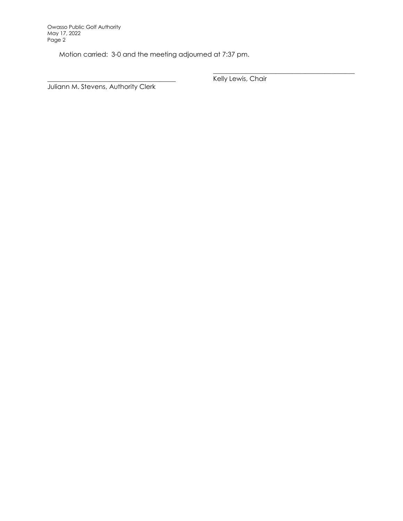Motion carried: 3-0 and the meeting adjourned at 7:37 pm.

\_\_\_\_\_\_\_\_\_\_\_\_\_\_\_\_\_\_\_\_\_\_\_\_\_\_\_\_\_\_\_\_\_\_\_\_\_\_\_\_\_\_\_ Kelly Lewis, Chair

Juliann M. Stevens, Authority Clerk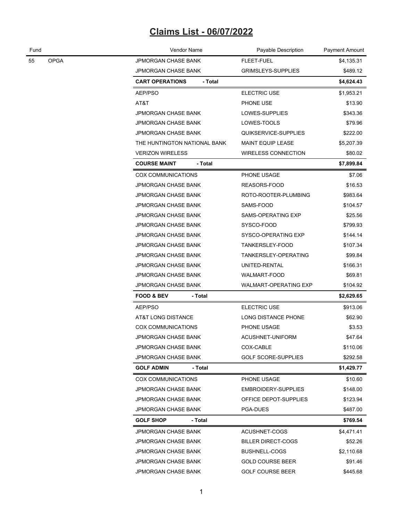# **Claims List - 06/07/2022**

| Fund |             | <b>Vendor Name</b>                              | Payable Description          | Payment Amount |  |
|------|-------------|-------------------------------------------------|------------------------------|----------------|--|
| 55   | <b>OPGA</b> | <b>JPMORGAN CHASE BANK</b>                      | FLEET-FUEL                   | \$4,135.31     |  |
|      |             | <b>JPMORGAN CHASE BANK</b>                      | GRIMSLEYS-SUPPLIES           | \$489.12       |  |
|      |             | <b>CART OPERATIONS</b><br>- Total<br>\$4,624.43 |                              |                |  |
|      |             | AEP/PSO                                         | <b>ELECTRIC USE</b>          | \$1,953.21     |  |
|      |             | AT&T                                            | PHONE USE                    | \$13.90        |  |
|      |             | <b>JPMORGAN CHASE BANK</b>                      | LOWES-SUPPLIES               | \$343.36       |  |
|      |             | <b>JPMORGAN CHASE BANK</b>                      | LOWES-TOOLS                  | \$79.96        |  |
|      |             | <b>JPMORGAN CHASE BANK</b>                      | QUIKSERVICE-SUPPLIES         | \$222.00       |  |
|      |             | THE HUNTINGTON NATIONAL BANK                    | <b>MAINT EQUIP LEASE</b>     | \$5,207.39     |  |
|      |             | <b>VERIZON WIRELESS</b>                         | <b>WIRELESS CONNECTION</b>   | \$80.02        |  |
|      |             | <b>COURSE MAINT</b><br>- Total                  |                              | \$7,899.84     |  |
|      |             | <b>COX COMMUNICATIONS</b>                       | PHONE USAGE                  | \$7.06         |  |
|      |             | JPMORGAN CHASE BANK                             | REASORS-FOOD                 | \$16.53        |  |
|      |             | <b>JPMORGAN CHASE BANK</b>                      | ROTO-ROOTER-PLUMBING         | \$983.64       |  |
|      |             | <b>JPMORGAN CHASE BANK</b>                      | SAMS-FOOD                    | \$104.57       |  |
|      |             | <b>JPMORGAN CHASE BANK</b>                      | SAMS-OPERATING EXP           | \$25.56        |  |
|      |             | <b>JPMORGAN CHASE BANK</b>                      | SYSCO-FOOD                   | \$799.93       |  |
|      |             | <b>JPMORGAN CHASE BANK</b>                      | SYSCO-OPERATING EXP          | \$144.14       |  |
|      |             | <b>JPMORGAN CHASE BANK</b>                      | TANKERSLEY-FOOD              | \$107.34       |  |
|      |             | <b>JPMORGAN CHASE BANK</b>                      | TANKERSLEY-OPERATING         | \$99.84        |  |
|      |             | JPMORGAN CHASE BANK                             | UNITED-RENTAL                | \$166.31       |  |
|      |             | <b>JPMORGAN CHASE BANK</b>                      | WALMART-FOOD                 | \$69.81        |  |
|      |             | <b>JPMORGAN CHASE BANK</b>                      | <b>WALMART-OPERATING EXP</b> | \$104.92       |  |
|      |             | <b>FOOD &amp; BEV</b><br>- Total                |                              | \$2,629.65     |  |
|      |             | AEP/PSO                                         | <b>ELECTRIC USE</b>          | \$913.06       |  |
|      |             | AT&T LONG DISTANCE                              | <b>LONG DISTANCE PHONE</b>   | \$62.90        |  |
|      |             | <b>COX COMMUNICATIONS</b>                       | PHONE USAGE                  | \$3.53         |  |
|      |             | <b>JPMORGAN CHASE BANK</b>                      | ACUSHNET-UNIFORM             | \$47.64        |  |
|      |             | JPMORGAN CHASE BANK                             | COX-CABLE                    | \$110.06       |  |
|      |             | JPMORGAN CHASE BANK                             | <b>GOLF SCORE-SUPPLIES</b>   | \$292.58       |  |
|      |             | <b>GOLF ADMIN</b><br>- Total                    |                              | \$1,429.77     |  |
|      |             | <b>COX COMMUNICATIONS</b>                       | PHONE USAGE                  | \$10.60        |  |
|      |             | <b>JPMORGAN CHASE BANK</b>                      | EMBROIDERY-SUPPLIES          | \$148.00       |  |
|      |             | <b>JPMORGAN CHASE BANK</b>                      | OFFICE DEPOT-SUPPLIES        | \$123.94       |  |
|      |             | <b>JPMORGAN CHASE BANK</b>                      | PGA-DUES                     | \$487.00       |  |
|      |             | <b>GOLF SHOP</b><br>- Total                     |                              | \$769.54       |  |
|      |             | <b>JPMORGAN CHASE BANK</b>                      | ACUSHNET-COGS                | \$4,471.41     |  |
|      |             | <b>JPMORGAN CHASE BANK</b>                      | <b>BILLER DIRECT-COGS</b>    | \$52.26        |  |
|      |             | <b>JPMORGAN CHASE BANK</b>                      | <b>BUSHNELL-COGS</b>         | \$2,110.68     |  |
|      |             | JPMORGAN CHASE BANK                             | <b>GOLD COURSE BEER</b>      | \$91.46        |  |
|      |             | JPMORGAN CHASE BANK                             | <b>GOLF COURSE BEER</b>      | \$445.68       |  |
|      |             |                                                 |                              |                |  |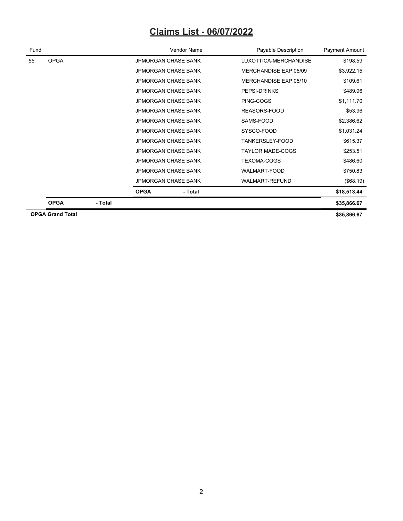# **Claims List - 06/07/2022**

| Fund |                         |         | Vendor Name                |         | Payable Description     | Payment Amount |
|------|-------------------------|---------|----------------------------|---------|-------------------------|----------------|
| 55   | <b>OPGA</b>             |         | <b>JPMORGAN CHASE BANK</b> |         | LUXOTTICA-MERCHANDISE   | \$198.59       |
|      |                         |         | <b>JPMORGAN CHASE BANK</b> |         | MERCHANDISE EXP 05/09   | \$3,922.15     |
|      |                         |         | <b>JPMORGAN CHASE BANK</b> |         | MERCHANDISE EXP 05/10   | \$109.61       |
|      |                         |         | <b>JPMORGAN CHASE BANK</b> |         | PEPSI-DRINKS            | \$489.96       |
|      |                         |         | <b>JPMORGAN CHASE BANK</b> |         | PING-COGS               | \$1,111.70     |
|      |                         |         | <b>JPMORGAN CHASE BANK</b> |         | REASORS-FOOD            | \$53.96        |
|      |                         |         | <b>JPMORGAN CHASE BANK</b> |         | SAMS-FOOD               | \$2,386.62     |
|      |                         |         | <b>JPMORGAN CHASE BANK</b> |         | SYSCO-FOOD              | \$1,031.24     |
|      |                         |         | <b>JPMORGAN CHASE BANK</b> |         | TANKERSLEY-FOOD         | \$615.37       |
|      |                         |         | <b>JPMORGAN CHASE BANK</b> |         | <b>TAYLOR MADE-COGS</b> | \$253.51       |
|      |                         |         | <b>JPMORGAN CHASE BANK</b> |         | <b>TEXOMA-COGS</b>      | \$486.60       |
|      |                         |         | <b>JPMORGAN CHASE BANK</b> |         | <b>WALMART-FOOD</b>     | \$750.83       |
|      |                         |         | <b>JPMORGAN CHASE BANK</b> |         | <b>WALMART-REFUND</b>   | (\$68.19)      |
|      |                         |         | <b>OPGA</b>                | - Total |                         | \$18,513.44    |
|      | <b>OPGA</b>             | - Total |                            |         |                         | \$35,866.67    |
|      | <b>OPGA Grand Total</b> |         |                            |         |                         |                |